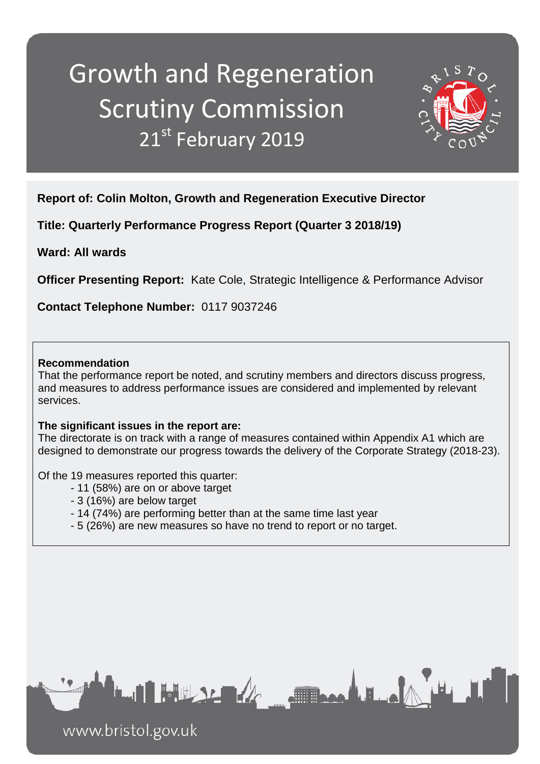# Growth and Regeneration Scrutiny Commission 21st February 2019



**Report of: Colin Molton, Growth and Regeneration Executive Director** 

**Title: Quarterly Performance Progress Report (Quarter 3 2018/19)**

**Ward: All wards**

**Officer Presenting Report:** Kate Cole, Strategic Intelligence & Performance Advisor

**Contact Telephone Number:** 0117 9037246

#### **Recommendation**

That the performance report be noted, and scrutiny members and directors discuss progress, and measures to address performance issues are considered and implemented by relevant services.

### **The significant issues in the report are:**

The directorate is on track with a range of measures contained within Appendix A1 which are designed to demonstrate our progress towards the delivery of the Corporate Strategy (2018-23).

Of the 19 measures reported this quarter:

- 11 (58%) are on or above target
- 3 (16%) are below target
- 14 (74%) are performing better than at the same time last year
- 5 (26%) are new measures so have no trend to report or no target.



www.bristol.gov.uk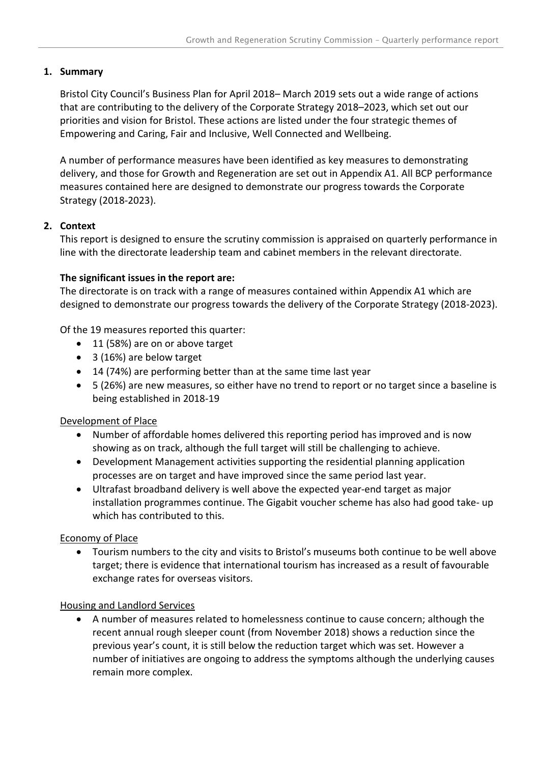#### **1. Summary**

Bristol City Council's Business Plan for April 2018– March 2019 sets out a wide range of actions that are contributing to the delivery of the Corporate Strategy 2018–2023, which set out our priorities and vision for Bristol. These actions are listed under the four strategic themes of Empowering and Caring, Fair and Inclusive, Well Connected and Wellbeing.

A number of performance measures have been identified as key measures to demonstrating delivery, and those for Growth and Regeneration are set out in Appendix A1. All BCP performance measures contained here are designed to demonstrate our progress towards the Corporate Strategy (2018-2023).

#### **2. Context**

This report is designed to ensure the scrutiny commission is appraised on quarterly performance in line with the directorate leadership team and cabinet members in the relevant directorate.

#### **The significant issues in the report are:**

The directorate is on track with a range of measures contained within Appendix A1 which are designed to demonstrate our progress towards the delivery of the Corporate Strategy (2018-2023).

Of the 19 measures reported this quarter:

- 11 (58%) are on or above target
- 3 (16%) are below target
- 14 (74%) are performing better than at the same time last year
- 5 (26%) are new measures, so either have no trend to report or no target since a baseline is being established in 2018-19

#### Development of Place

- Number of affordable homes delivered this reporting period has improved and is now showing as on track, although the full target will still be challenging to achieve.
- Development Management activities supporting the residential planning application processes are on target and have improved since the same period last year.
- Ultrafast broadband delivery is well above the expected year-end target as major installation programmes continue. The Gigabit voucher scheme has also had good take- up which has contributed to this.

#### Economy of Place

• Tourism numbers to the city and visits to Bristol's museums both continue to be well above target; there is evidence that international tourism has increased as a result of favourable exchange rates for overseas visitors.

#### Housing and Landlord Services

• A number of measures related to homelessness continue to cause concern; although the recent annual rough sleeper count (from November 2018) shows a reduction since the previous year's count, it is still below the reduction target which was set. However a number of initiatives are ongoing to address the symptoms although the underlying causes remain more complex.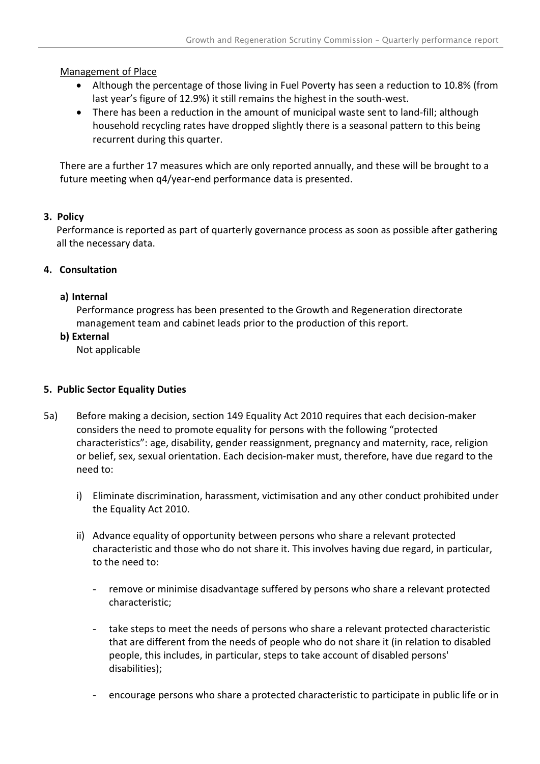#### Management of Place

- Although the percentage of those living in Fuel Poverty has seen a reduction to 10.8% (from last year's figure of 12.9%) it still remains the highest in the south-west.
- There has been a reduction in the amount of municipal waste sent to land-fill; although household recycling rates have dropped slightly there is a seasonal pattern to this being recurrent during this quarter.

There are a further 17 measures which are only reported annually, and these will be brought to a future meeting when q4/year-end performance data is presented.

#### **3. Policy**

Performance is reported as part of quarterly governance process as soon as possible after gathering all the necessary data.

#### **4. Consultation**

#### **a) Internal**

Performance progress has been presented to the Growth and Regeneration directorate management team and cabinet leads prior to the production of this report.

#### **b) External**

Not applicable

#### **5. Public Sector Equality Duties**

- 5a) Before making a decision, section 149 Equality Act 2010 requires that each decision-maker considers the need to promote equality for persons with the following "protected characteristics": age, disability, gender reassignment, pregnancy and maternity, race, religion or belief, sex, sexual orientation. Each decision-maker must, therefore, have due regard to the need to:
	- i) Eliminate discrimination, harassment, victimisation and any other conduct prohibited under the Equality Act 2010.
	- ii) Advance equality of opportunity between persons who share a relevant protected characteristic and those who do not share it. This involves having due regard, in particular, to the need to:
		- remove or minimise disadvantage suffered by persons who share a relevant protected characteristic;
		- take steps to meet the needs of persons who share a relevant protected characteristic that are different from the needs of people who do not share it (in relation to disabled people, this includes, in particular, steps to take account of disabled persons' disabilities);
		- encourage persons who share a protected characteristic to participate in public life or in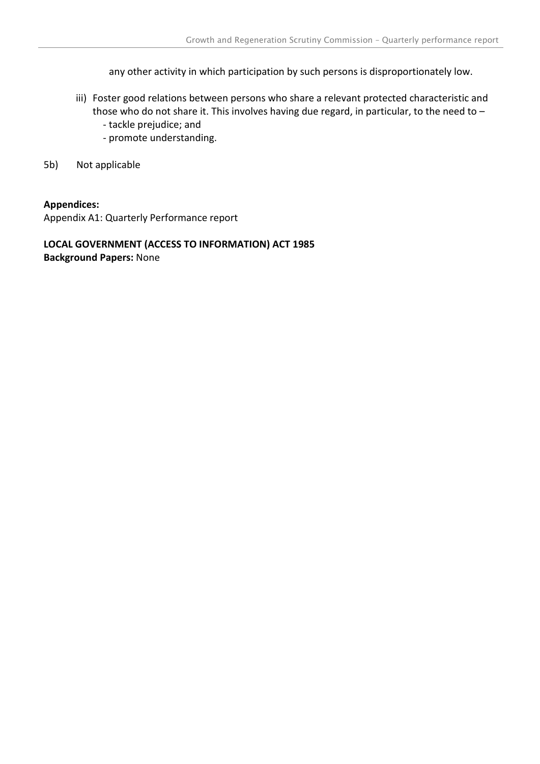any other activity in which participation by such persons is disproportionately low.

- iii) Foster good relations between persons who share a relevant protected characteristic and those who do not share it. This involves having due regard, in particular, to the need to –
	- tackle prejudice; and
	- promote understanding.
- 5b) Not applicable

#### **Appendices:**

Appendix A1: Quarterly Performance report

#### **LOCAL GOVERNMENT (ACCESS TO INFORMATION) ACT 1985 Background Papers:** None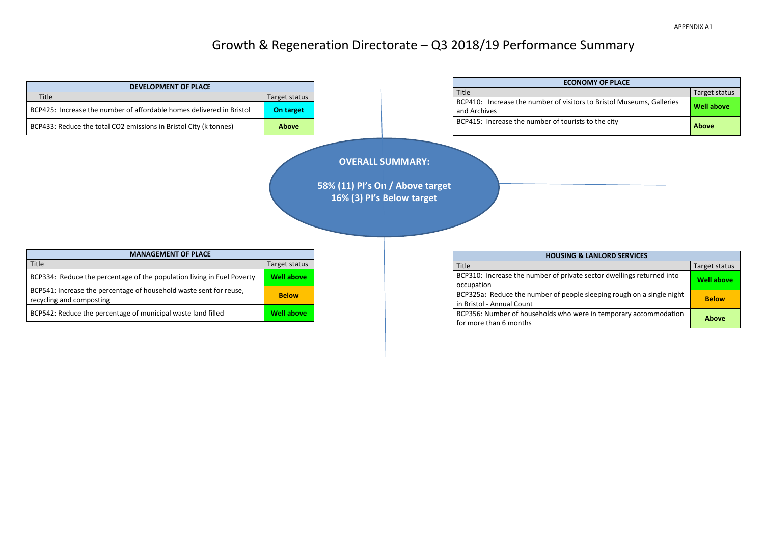## Growth & Regeneration Directorate – Q3 2018/19 Performance Summary



| <b>ECONOMY OF PLACE</b>                                                               |                   |  |  |  |  |  |  |
|---------------------------------------------------------------------------------------|-------------------|--|--|--|--|--|--|
| Title                                                                                 | Target status     |  |  |  |  |  |  |
| BCP410: Increase the number of visitors to Bristol Museums, Galleries<br>and Archives | <b>Well above</b> |  |  |  |  |  |  |
| BCP415: Increase the number of tourists to the city                                   | <b>Above</b>      |  |  |  |  |  |  |

| <b>HOUSING &amp; LANLORD SERVICES</b>                                 |                   |  |  |  |  |  |
|-----------------------------------------------------------------------|-------------------|--|--|--|--|--|
| Title                                                                 | Target status     |  |  |  |  |  |
| BCP310: Increase the number of private sector dwellings returned into | <b>Well above</b> |  |  |  |  |  |
| occupation                                                            |                   |  |  |  |  |  |
| BCP325a: Reduce the number of people sleeping rough on a single night | <b>Below</b>      |  |  |  |  |  |
| in Bristol - Annual Count                                             |                   |  |  |  |  |  |
| BCP356: Number of households who were in temporary accommodation      | <b>Above</b>      |  |  |  |  |  |
| for more than 6 months                                                |                   |  |  |  |  |  |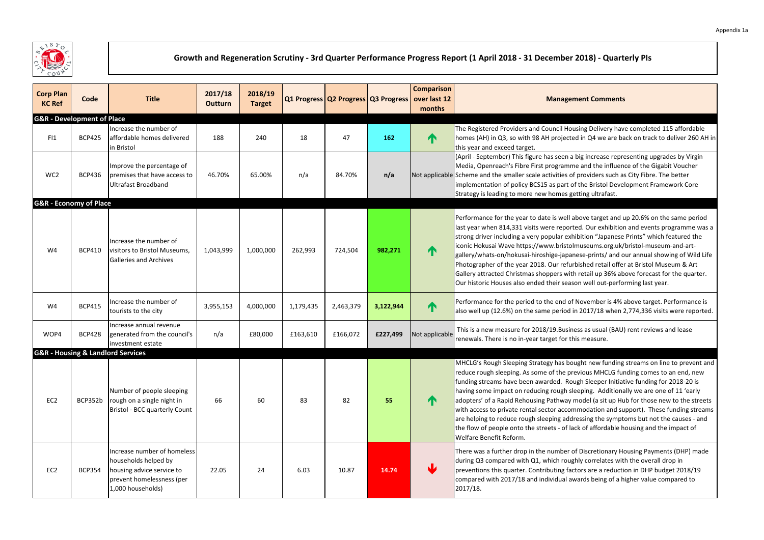| <b>Corp Plan</b><br><b>KC Ref</b>     | Code          | <b>Title</b>                                                                                                                       | 2017/18<br><b>Outturn</b> | 2018/19<br><b>Target</b> |           |           |           | <b>Comparison</b><br>Q1 Progress Q2 Progress Q3 Progress over last 12<br>months | <b>Management Comments</b>                                                                                                                                                                                                                                                                                                                                                                                                                                                                                                                                                                                                                                                                                                                            |
|---------------------------------------|---------------|------------------------------------------------------------------------------------------------------------------------------------|---------------------------|--------------------------|-----------|-----------|-----------|---------------------------------------------------------------------------------|-------------------------------------------------------------------------------------------------------------------------------------------------------------------------------------------------------------------------------------------------------------------------------------------------------------------------------------------------------------------------------------------------------------------------------------------------------------------------------------------------------------------------------------------------------------------------------------------------------------------------------------------------------------------------------------------------------------------------------------------------------|
| <b>G&amp;R</b> - Development of Place |               |                                                                                                                                    |                           |                          |           |           |           |                                                                                 |                                                                                                                                                                                                                                                                                                                                                                                                                                                                                                                                                                                                                                                                                                                                                       |
| FI1                                   | <b>BCP425</b> | Increase the number of<br>affordable homes delivered<br>in Bristol                                                                 | 188                       | 240                      | 18        | 47        | 162       | ↑                                                                               | The Registered Providers and Council Housing Delivery have completed 115 affordable<br>homes (AH) in Q3, so with 98 AH projected in Q4 we are back on track to deliver 260 AH<br>this year and exceed target.                                                                                                                                                                                                                                                                                                                                                                                                                                                                                                                                         |
| WC <sub>2</sub>                       | <b>BCP436</b> | Improve the percentage of<br>premises that have access to<br><b>Ultrafast Broadband</b>                                            | 46.70%                    | 65.00%                   | n/a       | 84.70%    | n/a       |                                                                                 | (April - September) This figure has seen a big increase representing upgrades by Virgin<br>Media, Openreach's Fibre First programme and the influence of the Gigabit Voucher<br>Not applicable Scheme and the smaller scale activities of providers such as City Fibre. The better<br>implementation of policy BCS15 as part of the Bristol Development Framework Core<br>Strategy is leading to more new homes getting ultrafast.                                                                                                                                                                                                                                                                                                                    |
| <b>G&amp;R</b> - Economy of Place     |               |                                                                                                                                    |                           |                          |           |           |           |                                                                                 |                                                                                                                                                                                                                                                                                                                                                                                                                                                                                                                                                                                                                                                                                                                                                       |
| W4                                    | <b>BCP410</b> | Increase the number of<br>visitors to Bristol Museums,<br><b>Galleries and Archives</b>                                            | 1,043,999                 | 1,000,000                | 262,993   | 724,504   | 982,271   | ↑                                                                               | Performance for the year to date is well above target and up 20.6% on the same period<br>last year when 814,331 visits were reported. Our exhibition and events programme was<br>strong driver including a very popular exhibition "Japanese Prints" which featured the<br>iconic Hokusai Wave https://www.bristolmuseums.org.uk/bristol-museum-and-art-<br>gallery/whats-on/hokusai-hiroshige-japanese-prints/ and our annual showing of Wild Lif<br>Photographer of the year 2018. Our refurbished retail offer at Bristol Museum & Art<br>Gallery attracted Christmas shoppers with retail up 36% above forecast for the quarter.<br>Our historic Houses also ended their season well out-performing last year.                                    |
| W4                                    | <b>BCP415</b> | Increase the number of<br>tourists to the city                                                                                     | 3,955,153                 | 4,000,000                | 1,179,435 | 2,463,379 | 3,122,944 | ↑                                                                               | Performance for the period to the end of November is 4% above target. Performance is<br>also well up (12.6%) on the same period in 2017/18 when 2,774,336 visits were reporte                                                                                                                                                                                                                                                                                                                                                                                                                                                                                                                                                                         |
| WOP4                                  | <b>BCP428</b> | Increase annual revenue<br>generated from the council's<br>investment estate                                                       | n/a                       | £80,000                  | £163,610  | £166,072  | £227,499  | Not applicable                                                                  | This is a new measure for 2018/19. Business as usual (BAU) rent reviews and lease<br>renewals. There is no in-year target for this measure.                                                                                                                                                                                                                                                                                                                                                                                                                                                                                                                                                                                                           |
|                                       |               | <b>G&amp;R - Housing &amp; Landlord Services</b>                                                                                   |                           |                          |           |           |           |                                                                                 |                                                                                                                                                                                                                                                                                                                                                                                                                                                                                                                                                                                                                                                                                                                                                       |
| EC <sub>2</sub>                       | BCP352b       | Number of people sleeping<br>rough on a single night in<br>Bristol - BCC quarterly Count                                           | 66                        | 60                       | 83        | 82        | 55        | T                                                                               | MHCLG's Rough Sleeping Strategy has bought new funding streams on line to prevent a<br>reduce rough sleeping. As some of the previous MHCLG funding comes to an end, new<br>funding streams have been awarded. Rough Sleeper Initiative funding for 2018-20 is<br>having some impact on reducing rough sleeping. Additionally we are one of 11 'early<br>adopters' of a Rapid Rehousing Pathway model (a sit up Hub for those new to the street<br>with access to private rental sector accommodation and support). These funding strean<br>are helping to reduce rough sleeping addressing the symptoms but not the causes - and<br>the flow of people onto the streets - of lack of affordable housing and the impact of<br>Welfare Benefit Reform. |
| EC <sub>2</sub>                       | <b>BCP354</b> | Increase number of homeless<br>households helped by<br>housing advice service to<br>prevent homelessness (per<br>1,000 households) | 22.05                     | 24                       | 6.03      | 10.87     | 14.74     |                                                                                 | There was a further drop in the number of Discretionary Housing Payments (DHP) made<br>during Q3 compared with Q1, which roughly correlates with the overall drop in<br>preventions this quarter. Contributing factors are a reduction in DHP budget 2018/19<br>compared with 2017/18 and individual awards being of a higher value compared to<br>2017/18.                                                                                                                                                                                                                                                                                                                                                                                           |



## **Growth and Regeneration Scrutiny - 3rd Quarter Performance Progress Report (1 April 2018 - 31 December 2018) - Quarterly PIs**

#### **Ment Comments**

sing Delivery have completed 115 affordable I in Q4 we are back on track to deliver 260 AH in

ght new funding streams on line to prevent and vious MHCLG funding comes to an end, new gh Sleeper Initiative funding for 2018-20 is eping. Additionally we are one of 11 'early odel (a sit up Hub for those new to the streets modation and support). These funding streams essing the symptoms but not the causes - and k of affordable housing and the impact of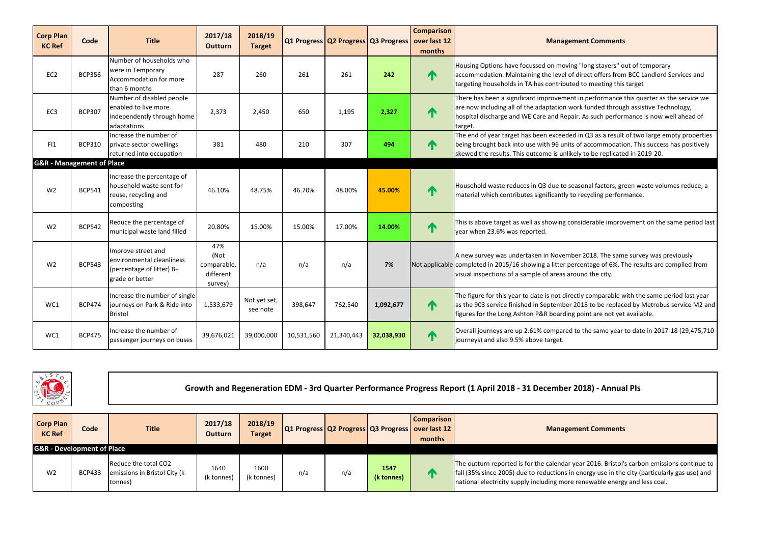#### **Managements**

ear 2016. Bristol's carbon emissions continue to energy use in the city (particularly gas use) and renewable energy and less coal.

| <b>Corp Plan</b><br><b>KC Ref</b>    | <b>Code</b>   | <b>Title</b>                                                                                    | 2017/18<br><b>Outturn</b>                          | 2018/19<br><b>Target</b> |            | Q1 Progress Q2 Progress Q3 Progress over last 12 |            | <b>Comparison</b><br>months | <b>Management Comments</b>                                                                                                                                                                                                                                                    |
|--------------------------------------|---------------|-------------------------------------------------------------------------------------------------|----------------------------------------------------|--------------------------|------------|--------------------------------------------------|------------|-----------------------------|-------------------------------------------------------------------------------------------------------------------------------------------------------------------------------------------------------------------------------------------------------------------------------|
| EC <sub>2</sub>                      | <b>BCP356</b> | Number of households who<br>were in Temporary<br>Accommodation for more<br>than 6 months        | 287                                                | 260                      | 261        | 261                                              | 242        | ∧                           | Housing Options have focussed on moving "long stayers" out of temporary<br>accommodation. Maintaining the level of direct offers from BCC Landlord Services and<br>targeting households in TA has contributed to meeting this target                                          |
| EC <sub>3</sub>                      | <b>BCP307</b> | Number of disabled people<br>enabled to live more<br>independently through home<br>adaptations  | 2,373                                              | 2,450                    | 650        | 1,195                                            | 2,327      | ↑                           | There has been a significant improvement in performance this quarter as the service we<br>are now including all of the adaptation work funded through assistive Technology,<br>hospital discharge and WE Care and Repair. As such performance is now well ahead of<br>target. |
| FI1                                  | <b>BCP310</b> | Increase the number of<br>private sector dwellings<br>returned into occupation                  | 381                                                | 480                      | 210        | 307                                              | 494        | $\mathbf \Lambda$           | The end of year target has been exceeded in Q3 as a result of two large empty properties<br>being brought back into use with 96 units of accommodation. This success has positively<br>skewed the results. This outcome is unlikely to be replicated in 2019-20.              |
| <b>G&amp;R</b> - Management of Place |               |                                                                                                 |                                                    |                          |            |                                                  |            |                             |                                                                                                                                                                                                                                                                               |
| W <sub>2</sub>                       | <b>BCP541</b> | Increase the percentage of<br>household waste sent for<br>reuse, recycling and<br>composting    | 46.10%                                             | 48.75%                   | 46.70%     | 48.00%                                           | 45.00%     | ↑                           | Household waste reduces in Q3 due to seasonal factors, green waste volumes reduce, a<br>material which contributes significantly to recycling performance.                                                                                                                    |
| W <sub>2</sub>                       | <b>BCP542</b> | Reduce the percentage of<br>municipal waste land filled                                         | 20.80%                                             | 15.00%                   | 15.00%     | 17.00%                                           | 14.00%     | $\mathbf \Gamma$            | This is above target as well as showing considerable improvement on the same period last<br>year when 23.6% was reported.                                                                                                                                                     |
| W <sub>2</sub>                       | <b>BCP543</b> | Improve street and<br>environmental cleanliness<br>(percentage of litter) B+<br>grade or better | 47%<br>(Not<br>comparable,<br>different<br>survey) | n/a                      | n/a        | n/a                                              | 7%         |                             | A new survey was undertaken in November 2018. The same survey was previously<br>Not applicable completed in 2015/16 showing a litter percentage of 6%. The results are compiled from<br>visual inspections of a sample of areas around the city.                              |
| WC1                                  | <b>BCP474</b> | Increase the number of single<br>journeys on Park & Ride into<br><b>Bristol</b>                 | 1,533,679                                          | Not yet set,<br>see note | 398,647    | 762,540                                          | 1,092,677  | $\mathbf \Lambda$           | The figure for this year to date is not directly comparable with the same period last year<br>as the 903 service finished in September 2018 to be replaced by Metrobus service M2 and<br>figures for the Long Ashton P&R boarding point are not yet available.                |
| WC1                                  | <b>BCP475</b> | Increase the number of<br>passenger journeys on buses                                           | 39,676,021                                         | 39,000,000               | 10,531,560 | 21,340,443                                       | 32,038,930 | T                           | Overall journeys are up 2.61% compared to the same year to date in 2017-18 (29,475,710<br>journeys) and also 9.5% above target.                                                                                                                                               |



| <b>Corp Plan</b><br><b>KC Ref</b>     | Code          | <b>Title</b>                                                     | 2017/18<br><b>Outturn</b> | 2018/19<br><b>Target</b> |     | Q1 Progress   Q2 Progress   Q3 Progress   0 |                    | <b>Comparison</b><br>over last 12<br>months | <b>Managem</b>                                                                                                                              |
|---------------------------------------|---------------|------------------------------------------------------------------|---------------------------|--------------------------|-----|---------------------------------------------|--------------------|---------------------------------------------|---------------------------------------------------------------------------------------------------------------------------------------------|
| <b>G&amp;R</b> - Development of Place |               |                                                                  |                           |                          |     |                                             |                    |                                             |                                                                                                                                             |
| W <sub>2</sub>                        | <b>BCP433</b> | Reduce the total CO2<br>emissions in Bristol City (k)<br>(tonnes | 1640<br>(k tonnes)        | 1600<br>(k tonnes)       | n/a | n/a                                         | 1547<br>(k tonnes) |                                             | The outturn reported is for the calendar ye<br>fall (35% since 2005) due to reductions in e<br>national electricity supply including more r |

#### **Managements**

**Growth and Regeneration EDM - 3rd Quarter Performance Progress Report (1 April 2018 - 31 December 2018) - Annual PIs**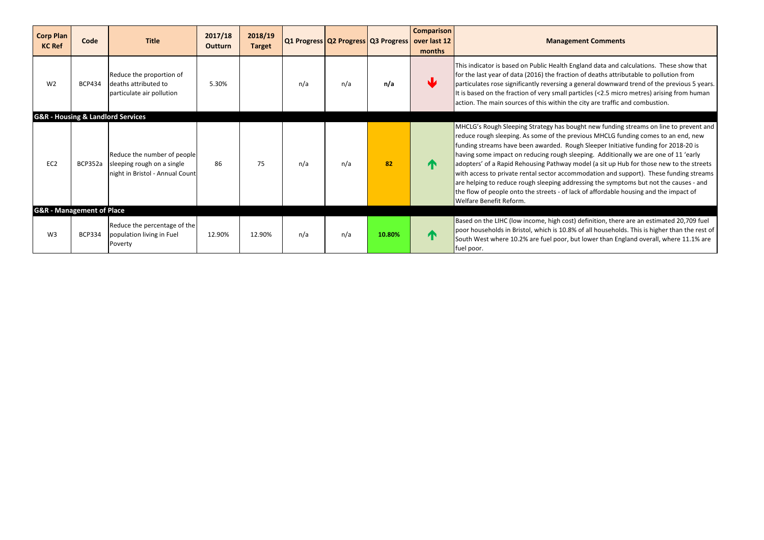| <b>Corp Plan</b><br><b>KC Ref</b>    | Code           | <b>Title</b>                                                                                 | 2017/18<br><b>Outturn</b> | 2018/19<br><b>Target</b> |     | Q1 Progress Q2 Progress Q3 Progress over last 12 |        | <b>Comparison</b><br>months | <b>Managem</b>                                                                                                                                                                                                                                                                                                                                                                                |
|--------------------------------------|----------------|----------------------------------------------------------------------------------------------|---------------------------|--------------------------|-----|--------------------------------------------------|--------|-----------------------------|-----------------------------------------------------------------------------------------------------------------------------------------------------------------------------------------------------------------------------------------------------------------------------------------------------------------------------------------------------------------------------------------------|
| W <sub>2</sub>                       | <b>BCP434</b>  | Reduce the proportion of<br>deaths attributed to<br>particulate air pollution                | 5.30%                     |                          | n/a | n/a                                              | n/a    | W                           | This indicator is based on Public Health En<br>for the last year of data (2016) the fractior<br>particulates rose significantly reversing a g<br>It is based on the fraction of very small pa<br>action. The main sources of this within the                                                                                                                                                  |
|                                      |                | <b>G&amp;R - Housing &amp; Landlord Services</b>                                             |                           |                          |     |                                                  |        |                             |                                                                                                                                                                                                                                                                                                                                                                                               |
| EC <sub>2</sub>                      | <b>BCP352a</b> | Reduce the number of people<br>sleeping rough on a single<br>night in Bristol - Annual Count | 86                        | 75                       | n/a | n/a                                              | 82     | $\blacksquare$              | MHCLG's Rough Sleeping Strategy has bou<br>reduce rough sleeping. As some of the pre<br>funding streams have been awarded. Rou<br>having some impact on reducing rough sle<br>adopters' of a Rapid Rehousing Pathway n<br>with access to private rental sector accom<br>are helping to reduce rough sleeping addre<br>the flow of people onto the streets - of lac<br>Welfare Benefit Reform. |
| <b>G&amp;R</b> - Management of Place |                |                                                                                              |                           |                          |     |                                                  |        |                             |                                                                                                                                                                                                                                                                                                                                                                                               |
| W <sub>3</sub>                       | <b>BCP334</b>  | Reduce the percentage of the<br>population living in Fuel<br>Poverty                         | 12.90%                    | 12.90%                   | n/a | n/a                                              | 10.80% | $\mathbf \Gamma$            | Based on the LIHC (low income, high cost)<br>poor households in Bristol, which is 10.8%<br>South West where 10.2% are fuel poor, bu<br>fuel poor.                                                                                                                                                                                                                                             |

#### **Managements**

ngland data and calculations. These show that on of deaths attributable to pollution from general downward trend of the previous 5 years. It is based on the fraction of the fractions articles (<2.5 micro metres) arising from human e city are traffic and combustion.

ught new funding streams on line to prevent and evious MHCLG funding comes to an end, new ugh Sleeper Initiative funding for 2018-20 is eeping. Additionally we are one of 11 'early model (a sit up Hub for those new to the streets nmodation and support). These funding streams ressing the symptoms but not the causes - and ck of affordable housing and the impact of

) definition, there are an estimated 20,709 fuel  $\delta$  of all households. This is higher than the rest of ut lower than England overall, where 11.1% are